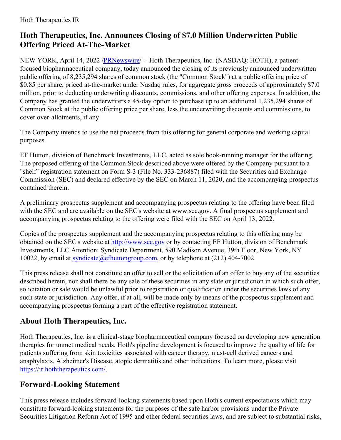## **Hoth Therapeutics, Inc. Announces Closing of \$7.0 Million Underwritten Public Offering Priced At-The-Market**

NEW YORK, April 14, 2022 /**PRNewswire/** -- Hoth Therapeutics, Inc. (NASDAQ: HOTH), a patientfocused biopharmaceutical company, today announced the closing of its previously announced underwritten public offering of 8,235,294 shares of common stock (the "Common Stock") at a public offering price of \$0.85 per share, priced at-the-market under Nasdaq rules, for aggregate gross proceeds of approximately \$7.0 million, prior to deducting underwriting discounts, commissions, and other offering expenses. In addition, the Company has granted the underwriters a 45-day option to purchase up to an additional 1,235,294 shares of Common Stock at the public offering price per share, less the underwriting discounts and commissions, to cover over-allotments, if any.

The Company intends to use the net proceeds from this offering for general corporate and working capital purposes.

EF Hutton, division of Benchmark Investments, LLC, acted as sole book-running manager for the offering. The proposed offering of the Common Stock described above were offered by the Company pursuant to a "shelf" registration statement on Form S-3 (File No. 333-236887) filed with the Securities and Exchange Commission (SEC) and declared effective by the SEC on March 11, 2020, and the accompanying prospectus contained therein.

A preliminary prospectus supplement and accompanying prospectus relating to the offering have been filed with the SEC and are available on the SEC's website at www.sec.gov. A final prospectus supplement and accompanying prospectus relating to the offering were filed with the SEC on April 13, 2022.

Copies of the prospectus supplement and the accompanying prospectus relating to this offering may be obtained on the SEC's website at <http://www.sec.gov> or by contacting EF Hutton, division of Benchmark Investments, LLC Attention: Syndicate Department, 590 Madison Avenue, 39th Floor, New York, NY 10022, by email at [syndicate@efhuttongroup.com](mailto:syndicate@efhuttongroup.com), or by telephone at (212) 404-7002.

This press release shall not constitute an offer to sell or the solicitation of an offer to buy any of the securities described herein, nor shall there be any sale of these securities in any state or jurisdiction in which such offer, solicitation or sale would be unlawful prior to registration or qualification under the securities laws of any such state or jurisdiction. Any offer, if at all, will be made only by means of the prospectus supplement and accompanying prospectus forming a part of the effective registration statement.

## **About Hoth Therapeutics, Inc.**

Hoth Therapeutics, Inc. is a clinical-stage biopharmaceutical company focused on developing new generation therapies for unmet medical needs. Hoth's pipeline development is focused to improve the quality of life for patients suffering from skin toxicities associated with cancer therapy, mast-cell derived cancers and anaphylaxis, Alzheimer's Disease, atopic dermatitis and other indications. To learn more, please visit [https://ir.hoththerapeutics.com/.](https://ir.hoththerapeutics.com/)

## **Forward-Looking Statement**

This press release includes forward-looking statements based upon Hoth's current expectations which may constitute forward-looking statements for the purposes of the safe harbor provisions under the Private Securities Litigation Reform Act of 1995 and other federal securities laws, and are subject to substantial risks,